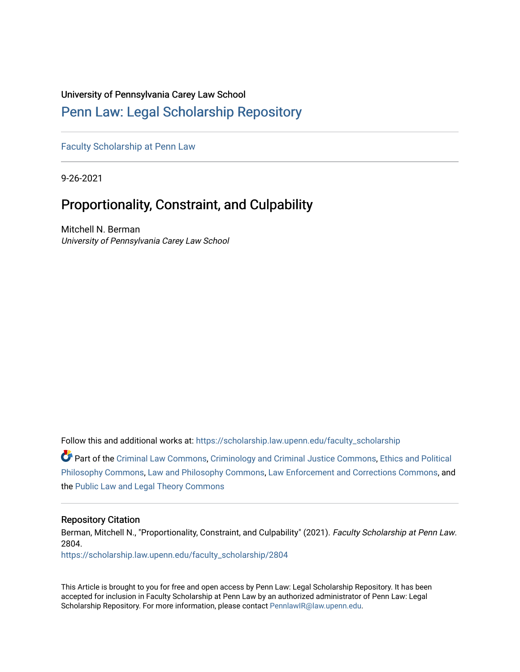## University of Pennsylvania Carey Law School

# [Penn Law: Legal Scholarship Repository](https://scholarship.law.upenn.edu/)

[Faculty Scholarship at Penn Law](https://scholarship.law.upenn.edu/faculty_scholarship)

9-26-2021

# Proportionality, Constraint, and Culpability

Mitchell N. Berman University of Pennsylvania Carey Law School

Follow this and additional works at: [https://scholarship.law.upenn.edu/faculty\\_scholarship](https://scholarship.law.upenn.edu/faculty_scholarship?utm_source=scholarship.law.upenn.edu%2Ffaculty_scholarship%2F2804&utm_medium=PDF&utm_campaign=PDFCoverPages) 

Part of the [Criminal Law Commons,](http://network.bepress.com/hgg/discipline/912?utm_source=scholarship.law.upenn.edu%2Ffaculty_scholarship%2F2804&utm_medium=PDF&utm_campaign=PDFCoverPages) [Criminology and Criminal Justice Commons](http://network.bepress.com/hgg/discipline/367?utm_source=scholarship.law.upenn.edu%2Ffaculty_scholarship%2F2804&utm_medium=PDF&utm_campaign=PDFCoverPages), [Ethics and Political](http://network.bepress.com/hgg/discipline/529?utm_source=scholarship.law.upenn.edu%2Ffaculty_scholarship%2F2804&utm_medium=PDF&utm_campaign=PDFCoverPages)  [Philosophy Commons,](http://network.bepress.com/hgg/discipline/529?utm_source=scholarship.law.upenn.edu%2Ffaculty_scholarship%2F2804&utm_medium=PDF&utm_campaign=PDFCoverPages) [Law and Philosophy Commons,](http://network.bepress.com/hgg/discipline/1299?utm_source=scholarship.law.upenn.edu%2Ffaculty_scholarship%2F2804&utm_medium=PDF&utm_campaign=PDFCoverPages) [Law Enforcement and Corrections Commons,](http://network.bepress.com/hgg/discipline/854?utm_source=scholarship.law.upenn.edu%2Ffaculty_scholarship%2F2804&utm_medium=PDF&utm_campaign=PDFCoverPages) and the [Public Law and Legal Theory Commons](http://network.bepress.com/hgg/discipline/871?utm_source=scholarship.law.upenn.edu%2Ffaculty_scholarship%2F2804&utm_medium=PDF&utm_campaign=PDFCoverPages)

#### Repository Citation

Berman, Mitchell N., "Proportionality, Constraint, and Culpability" (2021). Faculty Scholarship at Penn Law. 2804.

[https://scholarship.law.upenn.edu/faculty\\_scholarship/2804](https://scholarship.law.upenn.edu/faculty_scholarship/2804?utm_source=scholarship.law.upenn.edu%2Ffaculty_scholarship%2F2804&utm_medium=PDF&utm_campaign=PDFCoverPages)

This Article is brought to you for free and open access by Penn Law: Legal Scholarship Repository. It has been accepted for inclusion in Faculty Scholarship at Penn Law by an authorized administrator of Penn Law: Legal Scholarship Repository. For more information, please contact [PennlawIR@law.upenn.edu.](mailto:PennlawIR@law.upenn.edu)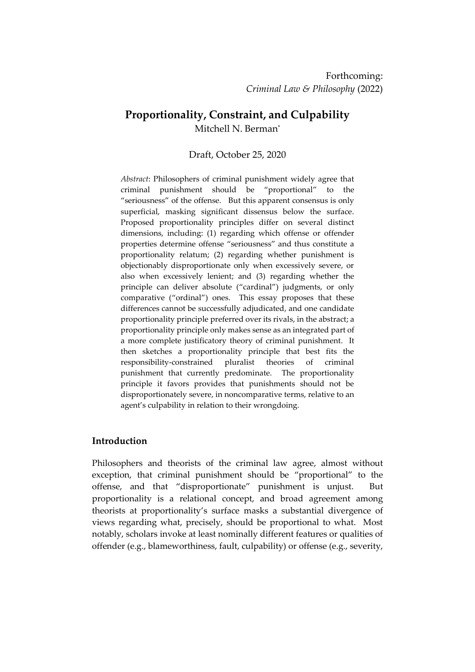# **Proportionality, Constraint, and Culpability**

Mitchell N. Berman\*

# Draft, October 25, 2020

*Abstract*: Philosophers of criminal punishment widely agree that criminal punishment should be "proportional" to the "seriousness" of the offense. But this apparent consensus is only superficial, masking significant dissensus below the surface. Proposed proportionality principles differ on several distinct dimensions, including: (1) regarding which offense or offender properties determine offense "seriousness" and thus constitute a proportionality relatum; (2) regarding whether punishment is objectionably disproportionate only when excessively severe, or also when excessively lenient; and (3) regarding whether the principle can deliver absolute ("cardinal") judgments, or only comparative ("ordinal") ones. This essay proposes that these differences cannot be successfully adjudicated, and one candidate proportionality principle preferred over its rivals, in the abstract; a proportionality principle only makes sense as an integrated part of a more complete justificatory theory of criminal punishment. It then sketches a proportionality principle that best fits the responsibility-constrained pluralist theories of criminal punishment that currently predominate. The proportionality principle it favors provides that punishments should not be disproportionately severe, in noncomparative terms, relative to an agent's culpability in relation to their wrongdoing.

## **Introduction**

Philosophers and theorists of the criminal law agree, almost without exception, that criminal punishment should be "proportional" to the offense, and that "disproportionate" punishment is unjust. But proportionality is a relational concept, and broad agreement among theorists at proportionality's surface masks a substantial divergence of views regarding what, precisely, should be proportional to what. Most notably, scholars invoke at least nominally different features or qualities of offender (e.g., blameworthiness, fault, culpability) or offense (e.g., severity,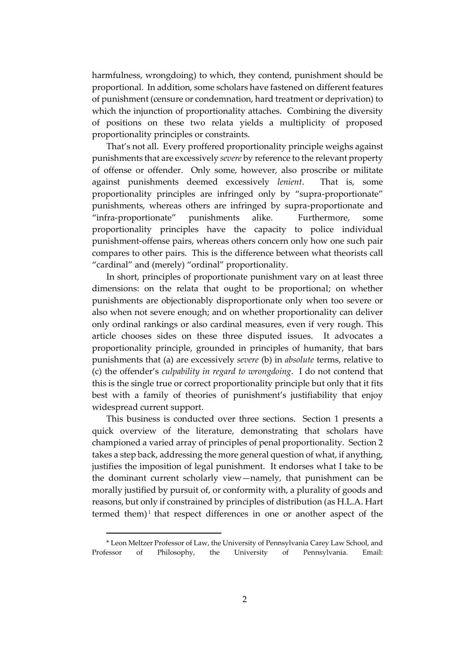harmfulness, wrongdoing) to which, they contend, punishment should be proportional. In addition, some scholars have fastened on different features of punishment (censure or condemnation, hard treatment or deprivation) to which the injunction of proportionality attaches. Combining the diversity of positions on these two relata yields a multiplicity of proposed proportionality principles or constraints.

That's not all. Every proffered proportionality principle weighs against punishments that are excessively *severe* by reference to the relevant property of offense or offender. Only some, however, also proscribe or militate against punishments deemed excessively *lenient*. That is, some proportionality principles are infringed only by "supra-proportionate" punishments, whereas others are infringed by supra-proportionate and "infra-proportionate" punishments alike. Furthermore, some proportionality principles have the capacity to police individual punishment-offense pairs, whereas others concern only how one such pair compares to other pairs. This is the difference between what theorists call "cardinal" and (merely) "ordinal" proportionality.

In short, principles of proportionate punishment vary on at least three dimensions: on the relata that ought to be proportional; on whether punishments are objectionably disproportionate only when too severe or also when not severe enough; and on whether proportionality can deliver only ordinal rankings or also cardinal measures, even if very rough. This article chooses sides on these three disputed issues. It advocates a proportionality principle, grounded in principles of humanity, that bars punishments that (a) are excessively *severe* (b) in *absolute* terms, relative to (c) the offender's *culpability in regard to wrongdoing*. I do not contend that this is the single true or correct proportionality principle but only that it fits best with a family of theories of punishment's justifiability that enjoy widespread current support.

This business is conducted over three sections. Section 1 presents a quick overview of the literature, demonstrating that scholars have championed a varied array of principles of penal proportionality. Section 2 takes a step back, addressing the more general question of what, if anything, justifies the imposition of legal punishment. It endorses what I take to be the dominant current scholarly view—namely, that punishment can be morally justified by pursuit of, or conformity with, a plurality of goods and reasons, but only if constrained by principles of distribution (as H.L.A. Hart termed them) 1 that respect differences in one or another aspect of the

<sup>\*</sup> Leon Meltzer Professor of Law, the University of Pennsylvania Carey Law School, and Professor of Philosophy, the University of Pennsylvania. Email: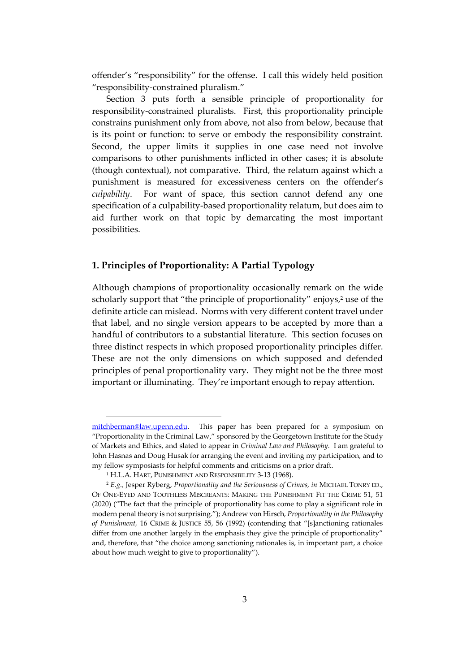offender's "responsibility" for the offense. I call this widely held position "responsibility-constrained pluralism."

Section 3 puts forth a sensible principle of proportionality for responsibility-constrained pluralists. First, this proportionality principle constrains punishment only from above, not also from below, because that is its point or function: to serve or embody the responsibility constraint. Second, the upper limits it supplies in one case need not involve comparisons to other punishments inflicted in other cases; it is absolute (though contextual), not comparative. Third, the relatum against which a punishment is measured for excessiveness centers on the offender's *culpability*. For want of space, this section cannot defend any one specification of a culpability-based proportionality relatum, but does aim to aid further work on that topic by demarcating the most important possibilities.

### **1. Principles of Proportionality: A Partial Typology**

Although champions of proportionality occasionally remark on the wide scholarly support that "the principle of proportionality" enjoys, <sup>2</sup> use of the definite article can mislead. Norms with very different content travel under that label, and no single version appears to be accepted by more than a handful of contributors to a substantial literature. This section focuses on three distinct respects in which proposed proportionality principles differ. These are not the only dimensions on which supposed and defended principles of penal proportionality vary. They might not be the three most important or illuminating. They're important enough to repay attention.

[mitchberman@law.upenn.edu.](mailto:mitchberman@law.upenn.edu) This paper has been prepared for a symposium on "Proportionality in the Criminal Law," sponsored by the Georgetown Institute for the Study of Markets and Ethics, and slated to appear in *Criminal Law and Philosophy.* I am grateful to John Hasnas and Doug Husak for arranging the event and inviting my participation, and to my fellow symposiasts for helpful comments and criticisms on a prior draft.

<sup>&</sup>lt;sup>1</sup> H.L.A. HART, PUNISHMENT AND RESPONSIBILITY 3-13 (1968).

<sup>2</sup> *E.g.,* Jesper Ryberg, *Proportionality and the Seriousness of Crimes, in* MICHAEL TONRY ED., OF ONE-EYED AND TOOTHLESS MISCREANTS: MAKING THE PUNISHMENT FIT THE CRIME 51, 51 (2020) ("The fact that the principle of proportionality has come to play a significant role in modern penal theory is not surprising."); Andrew von Hirsch, *Proportionality in the Philosophy of Punishment,* 16 CRIME & JUSTICE 55, 56 (1992) (contending that "[s]anctioning rationales differ from one another largely in the emphasis they give the principle of proportionality" and, therefore, that "the choice among sanctioning rationales is, in important part, a choice about how much weight to give to proportionality").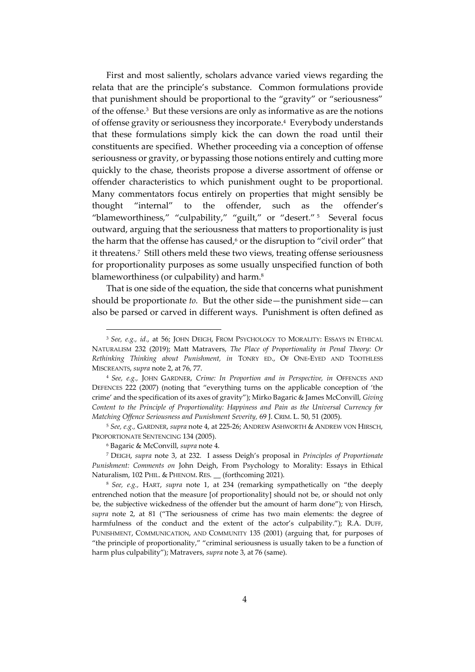First and most saliently, scholars advance varied views regarding the relata that are the principle's substance. Common formulations provide that punishment should be proportional to the "gravity" or "seriousness" of the offense.<sup>3</sup> But these versions are only as informative as are the notions of offense gravity or seriousness they incorporate. <sup>4</sup> Everybody understands that these formulations simply kick the can down the road until their constituents are specified. Whether proceeding via a conception of offense seriousness or gravity, or bypassing those notions entirely and cutting more quickly to the chase, theorists propose a diverse assortment of offense or offender characteristics to which punishment ought to be proportional. Many commentators focus entirely on properties that might sensibly be thought "internal" to the offender, such as the offender's "blameworthiness," "culpability," "guilt," or "desert." <sup>5</sup> Several focus outward, arguing that the seriousness that matters to proportionality is just the harm that the offense has caused, <sup>6</sup> or the disruption to "civil order" that it threatens.<sup>7</sup> Still others meld these two views, treating offense seriousness for proportionality purposes as some usually unspecified function of both blameworthiness (or culpability) and harm.<sup>8</sup>

That is one side of the equation, the side that concerns what punishment should be proportionate *to.* But the other side—the punishment side—can also be parsed or carved in different ways. Punishment is often defined as

<sup>3</sup> *See, e.g., id.*, at 56; JOHN DEIGH, FROM PSYCHOLOGY TO MORALITY: ESSAYS IN ETHICAL NATURALISM 232 (2019); Matt Matravers, *The Place of Proportionality in Penal Theory: Or Rethinking Thinking about Punishment, in* TONRY ED., OF ONE-EYED AND TOOTHLESS MISCREANTS, *supra* note 2, at 76, 77.

<sup>4</sup> *See, e.g.,* JOHN GARDNER, *Crime: In Proportion and in Perspective, in* OFFENCES AND DEFENCES 222 (2007) (noting that "everything turns on the applicable conception of 'the crime' and the specification of its axes of gravity"); Mirko Bagaric & James McConvill, *Giving Content to the Principle of Proportionality: Happiness and Pain as the Universal Currency for Matching Offence Seriousness and Punishment Severity,* 69 J. CRIM. L. 50, 51 (2005).

<sup>5</sup> *See, e.g.,* GARDNER, *supra* note 4, at 225-26; ANDREW ASHWORTH & ANDREW VON HIRSCH, PROPORTIONATE SENTENCING 134 (2005).

<sup>6</sup> Bagaric & McConvill, *supra* note 4.

<sup>7</sup> DEIGH, *supra* note 3, at 232. I assess Deigh's proposal in *Principles of Proportionate Punishment: Comments on* John Deigh, From Psychology to Morality: Essays in Ethical Naturalism, 102 PHIL. & PHENOM. RES. \_\_ (forthcoming 2021).

<sup>8</sup> *See, e.g.,* HART, *supra* note 1, at 234 (remarking sympathetically on "the deeply entrenched notion that the measure [of proportionality] should not be, or should not only be, the subjective wickedness of the offender but the amount of harm done"); von Hirsch, *supra* note 2, at 81 ("The seriousness of crime has two main elements: the degree of harmfulness of the conduct and the extent of the actor's culpability."); R.A. DUFF, PUNISHMENT, COMMUNICATION, AND COMMUNITY 135 (2001) (arguing that, for purposes of "the principle of proportionality," "criminal seriousness is usually taken to be a function of harm plus culpability"); Matravers, *supra* note 3, at 76 (same).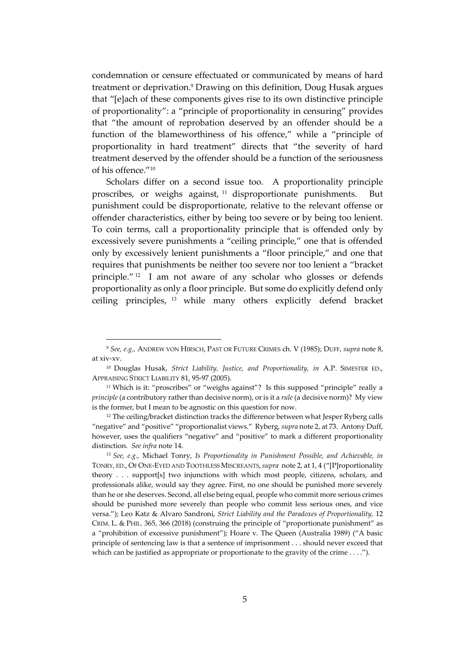condemnation or censure effectuated or communicated by means of hard treatment or deprivation.<sup>9</sup> Drawing on this definition, Doug Husak argues that "[e]ach of these components gives rise to its own distinctive principle of proportionality": a "principle of proportionality in censuring" provides that "the amount of reprobation deserved by an offender should be a function of the blameworthiness of his offence," while a "principle of proportionality in hard treatment" directs that "the severity of hard treatment deserved by the offender should be a function of the seriousness of his offence."<sup>10</sup>

Scholars differ on a second issue too. A proportionality principle proscribes, or weighs against, <sup>11</sup> disproportionate punishments. But punishment could be disproportionate, relative to the relevant offense or offender characteristics, either by being too severe or by being too lenient. To coin terms, call a proportionality principle that is offended only by excessively severe punishments a "ceiling principle," one that is offended only by excessively lenient punishments a "floor principle," and one that requires that punishments be neither too severe nor too lenient a "bracket principle." <sup>12</sup> I am not aware of any scholar who glosses or defends proportionality as only a floor principle. But some do explicitly defend only ceiling principles, <sup>13</sup> while many others explicitly defend bracket

<sup>9</sup> *See, e.g.,* ANDREW VON HIRSCH, PAST OR FUTURE CRIMES ch. V (1985); DUFF, *supra* note 8, at xiv-xv.

<sup>10</sup> Douglas Husak, *Strict Liability, Justice, and Proportionality, in* A.P. SIMESTER ED., APPRAISING STRICT LIABILITY 81, 95-97 (2005).

<sup>&</sup>lt;sup>11</sup> Which is it: "proscribes" or "weighs against"? Is this supposed "principle" really a *principle* (a contributory rather than decisive norm), or is it a *rule* (a decisive norm)? My view is the former, but I mean to be agnostic on this question for now.

 $12$  The ceiling/bracket distinction tracks the difference between what Jesper Ryberg calls "negative" and "positive" "proportionalist views." Ryberg, *supra* note 2, at 73. Antony Duff, however, uses the qualifiers "negative" and "positive" to mark a different proportionality distinction. *See infra* note 14.

<sup>13</sup> *See, e.g.,* Michael Tonry, *Is Proportionality in Punishment Possible, and Achievable, in*  TONRY, ED., OF ONE-EYED AND TOOTHLESS MISCREANTS,*supra* note 2, at 1, 4 ("[P]roportionality theory . . . support[s] two injunctions with which most people, citizens, scholars, and professionals alike, would say they agree. First, no one should be punished more severely than he or she deserves. Second, all else being equal, people who commit more serious crimes should be punished more severely than people who commit less serious ones, and vice versa."); Leo Katz & Alvaro Sandroni, *Strict Liability and the Paradoxes of Proportionality,* 12 CRIM. L. & PHIL. 365, 366 (2018) (construing the principle of "proportionate punishment" as a "prohibition of excessive punishment"); Hoare v. The Queen (Australia 1989) ("A basic principle of sentencing law is that a sentence of imprisonment . . . should never exceed that which can be justified as appropriate or proportionate to the gravity of the crime . . . .").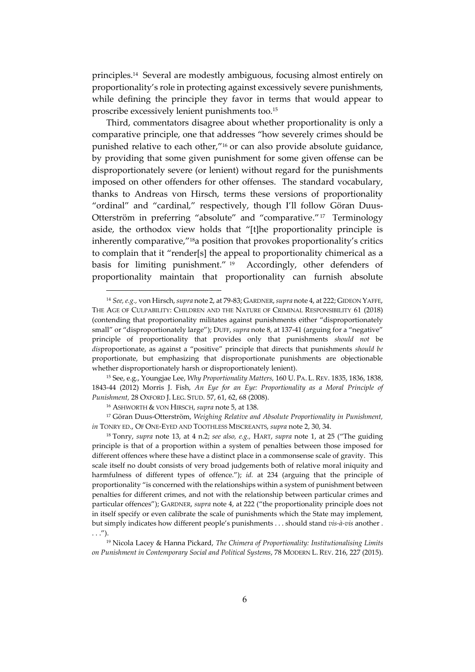principles.<sup>14</sup> Several are modestly ambiguous, focusing almost entirely on proportionality's role in protecting against excessively severe punishments, while defining the principle they favor in terms that would appear to proscribe excessively lenient punishments too.<sup>15</sup>

Third, commentators disagree about whether proportionality is only a comparative principle, one that addresses "how severely crimes should be punished relative to each other,"<sup>16</sup> or can also provide absolute guidance, by providing that some given punishment for some given offense can be disproportionately severe (or lenient) without regard for the punishments imposed on other offenders for other offenses. The standard vocabulary, thanks to Andreas von Hirsch, terms these versions of proportionality "ordinal" and "cardinal," respectively, though I'll follow Göran Duus-Otterström in preferring "absolute" and "comparative." 17 Terminology aside, the orthodox view holds that "[t]he proportionality principle is inherently comparative,"18a position that provokes proportionality's critics to complain that it "render[s] the appeal to proportionality chimerical as a basis for limiting punishment." <sup>19</sup> Accordingly, other defenders of proportionality maintain that proportionality can furnish absolute

<sup>15</sup> See, e.g., Youngjae Lee, *Why Proportionality Matters,* 160 U. PA. L. REV. 1835, 1836, 1838, 1843-44 (2012) Morris J. Fish, *An Eye for an Eye: Proportionality as a Moral Principle of Punishment,* 28 OXFORD J. LEG. STUD. 57, 61, 62, 68 (2008).

<sup>16</sup> ASHWORTH & VON HIRSCH, *supra* note 5, at 138.

<sup>17</sup> Göran Duus-Otterström, *Weighing Relative and Absolute Proportionality in Punishment, in* TONRY ED., OF ONE-EYED AND TOOTHLESS MISCREANTS, *supra* note 2, 30, 34.

<sup>14</sup> *See, e.g.,* von Hirsch, *supra* note 2, at 79-83; GARDNER, *supra* note 4, at 222; GIDEON YAFFE, THE AGE OF CULPABILITY: CHILDREN AND THE NATURE OF CRIMINAL RESPONSIBILITY 61 (2018) (contending that proportionality militates against punishments either "disproportionately small" or "disproportionately large"); DUFF, *supra* note 8, at 137-41 (arguing for a "negative" principle of proportionality that provides only that punishments *should not* be *dis*proportionate, as against a "positive" principle that directs that punishments *should be* proportionate, but emphasizing that disproportionate punishments are objectionable whether disproportionately harsh or disproportionately lenient).

<sup>18</sup> Tonry, *supra* note 13, at 4 n.2; *see also, e.g.,* HART, *supra* note 1, at 25 ("The guiding principle is that of a proportion within a system of penalties between those imposed for different offences where these have a distinct place in a commonsense scale of gravity. This scale itself no doubt consists of very broad judgements both of relative moral iniquity and harmfulness of different types of offence."); *id.* at 234 (arguing that the principle of proportionality "is concerned with the relationships within a system of punishment between penalties for different crimes, and not with the relationship between particular crimes and particular offences"); GARDNER, *supra* note 4, at 222 ("the proportionality principle does not in itself specify or even calibrate the scale of punishments which the State may implement, but simply indicates how different people's punishments . . . should stand *vis-à-vis* another .  $\ldots$ ").

<sup>19</sup> Nicola Lacey & Hanna Pickard, *The Chimera of Proportionality: Institutionalising Limits on Punishment in Contemporary Social and Political Systems*, 78 MODERN L. REV. 216, 227 (2015).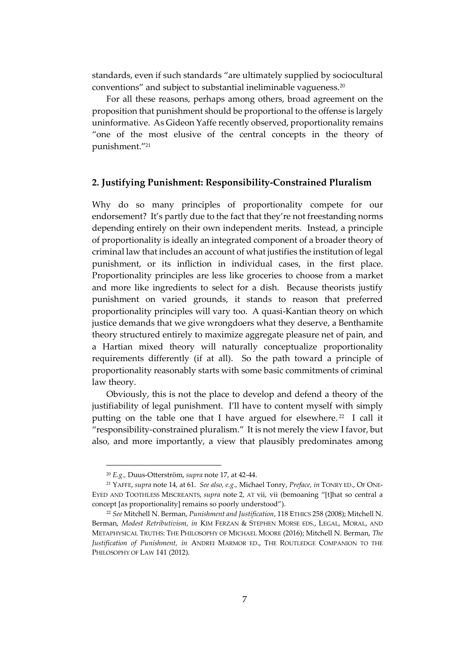standards, even if such standards "are ultimately supplied by sociocultural conventions" and subject to substantial ineliminable vagueness.<sup>20</sup>

For all these reasons, perhaps among others, broad agreement on the proposition that punishment should be proportional to the offense is largely uninformative. As Gideon Yaffe recently observed, proportionality remains "one of the most elusive of the central concepts in the theory of punishment." 21

#### **2. Justifying Punishment: Responsibility-Constrained Pluralism**

Why do so many principles of proportionality compete for our endorsement? It's partly due to the fact that they're not freestanding norms depending entirely on their own independent merits. Instead, a principle of proportionality is ideally an integrated component of a broader theory of criminal law that includes an account of what justifies the institution of legal punishment, or its infliction in individual cases, in the first place. Proportionality principles are less like groceries to choose from a market and more like ingredients to select for a dish. Because theorists justify punishment on varied grounds, it stands to reason that preferred proportionality principles will vary too. A quasi-Kantian theory on which justice demands that we give wrongdoers what they deserve, a Benthamite theory structured entirely to maximize aggregate pleasure net of pain, and a Hartian mixed theory will naturally conceptualize proportionality requirements differently (if at all). So the path toward a principle of proportionality reasonably starts with some basic commitments of criminal law theory.

Obviously, this is not the place to develop and defend a theory of the justifiability of legal punishment. I'll have to content myself with simply putting on the table one that I have argued for elsewhere.<sup>22</sup> I call it "responsibility-constrained pluralism." It is not merely the view I favor, but also, and more importantly, a view that plausibly predominates among

<sup>20</sup> *E.g.,* Duus-Otterström, *supra* note 17, at 42-44.

<sup>21</sup> YAFFE, *supra* note 14, at 61. *See also, e.g.,* Michael Tonry, *Preface, in* TONRY ED., OF ONE-EYED AND TOOTHLESS MISCREANTS, *supra* note 2, AT vii, vii (bemoaning "[t]hat so central a concept [as proportionality] remains so poorly understood").

<sup>22</sup> *See* Mitchell N. Berman, *Punishment and Justification*, 118 ETHICS 258 (2008); Mitchell N. Berman, *Modest Retributivism, in* KIM FERZAN & STEPHEN MORSE EDS., LEGAL, MORAL, AND METAPHYSICAL TRUTHS: THE PHILOSOPHY OF MICHAEL MOORE (2016); Mitchell N. Berman, *The Justification of Punishment, in* ANDREI MARMOR ED., THE ROUTLEDGE COMPANION TO THE PHILOSOPHY OF LAW 141 (2012).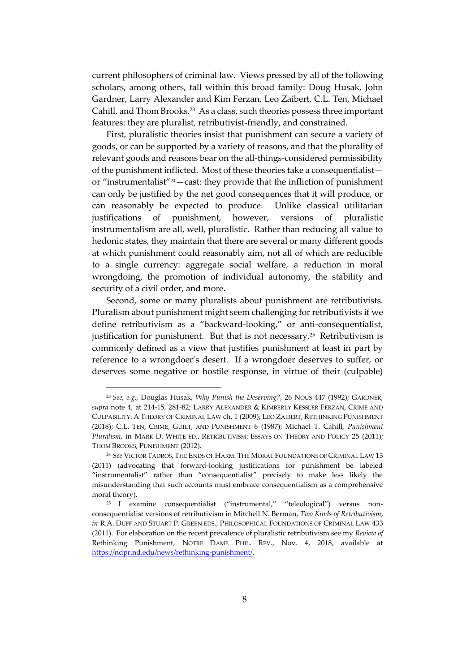current philosophers of criminal law. Views pressed by all of the following scholars, among others, fall within this broad family: Doug Husak, John Gardner, Larry Alexander and Kim Ferzan, Leo Zaibert, C.L. Ten, Michael Cahill, and Thom Brooks. 23 As a class, such theories possess three important features: they are pluralist, retributivist-friendly, and constrained.

First, pluralistic theories insist that punishment can secure a variety of goods, or can be supported by a variety of reasons, and that the plurality of relevant goods and reasons bear on the all-things-considered permissibility of the punishment inflicted. Most of these theories take a consequentialist or "instrumentalist"24—cast: they provide that the infliction of punishment can only be justified by the net good consequences that it will produce, or can reasonably be expected to produce. Unlike classical utilitarian justifications of punishment, however, versions of pluralistic instrumentalism are all, well, pluralistic. Rather than reducing all value to hedonic states, they maintain that there are several or many different goods at which punishment could reasonably aim, not all of which are reducible to a single currency: aggregate social welfare, a reduction in moral wrongdoing, the promotion of individual autonomy, the stability and security of a civil order, and more.

Second, some or many pluralists about punishment are retributivists. Pluralism about punishment might seem challenging for retributivists if we define retributivism as a "backward-looking," or anti-consequentialist, justification for punishment. But that is not necessary.<sup>25</sup> Retributivism is commonly defined as a view that justifies punishment at least in part by reference to a wrongdoer's desert. If a wrongdoer deserves to suffer, or deserves some negative or hostile response, in virtue of their (culpable)

<sup>23</sup> *See, e.g.,* Douglas Husak, *Why Punish the Deserving?*, 26 NOUS 447 (1992); GARDNER, *supra* note 4, at 214-15, 281-82; LARRY ALEXANDER & KIMBERLY KESSLER FERZAN, CRIME AND CULPABILITY: A THEORY OF CRIMINAL LAW ch. 1 (2009); LEO ZAIBERT, RETHINKING PUNISHMENT (2018); C.L. TEN, CRIME, GUILT, AND PUNISHMENT 6 (1987); Michael T. Cahill, *Punishment Pluralism*, in MARK D. WHITE ED., RETRIBUTIVISM: ESSAYS ON THEORY AND POLICY 25 (2011); THOM BROOKS, PUNISHMENT (2012).

<sup>24</sup> *See* VICTOR TADROS, THE ENDS OF HARM: THE MORAL FOUNDATIONS OF CRIMINAL LAW 13 (2011) (advocating that forward-looking justifications for punishment be labeled "instrumentalist" rather than "consequentialist" precisely to make less likely the misunderstanding that such accounts must embrace consequentialism as a comprehensive moral theory).

<sup>25</sup> I examine consequentialist ("instrumental," "teleological") versus nonconsequentialist versions of retributivism in Mitchell N. Berman, *Two Kinds of Retributivism*, *in* R.A. DUFF AND STUART P. GREEN EDS., PHILOSOPHICAL FOUNDATIONS OF CRIMINAL LAW 433 (2011). For elaboration on the recent prevalence of pluralistic retributivism see my *Review of* Rethinking Punishment, NOTRE DAME PHIL. REV., Nov. 4, 2018, available at [https://ndpr.nd.edu/news/rethinking-punishment/.](https://ndpr.nd.edu/news/rethinking-punishment/)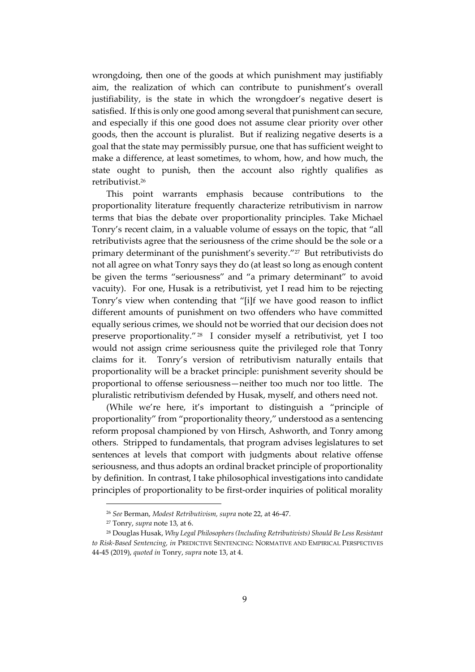wrongdoing, then one of the goods at which punishment may justifiably aim, the realization of which can contribute to punishment's overall justifiability, is the state in which the wrongdoer's negative desert is satisfied. If this is only one good among several that punishment can secure, and especially if this one good does not assume clear priority over other goods, then the account is pluralist. But if realizing negative deserts is a goal that the state may permissibly pursue, one that has sufficient weight to make a difference, at least sometimes, to whom, how, and how much, the state ought to punish, then the account also rightly qualifies as retributivist.<sup>26</sup>

This point warrants emphasis because contributions to the proportionality literature frequently characterize retributivism in narrow terms that bias the debate over proportionality principles. Take Michael Tonry's recent claim, in a valuable volume of essays on the topic, that "all retributivists agree that the seriousness of the crime should be the sole or a primary determinant of the punishment's severity."<sup>27</sup> But retributivists do not all agree on what Tonry says they do (at least so long as enough content be given the terms "seriousness" and "a primary determinant" to avoid vacuity). For one, Husak is a retributivist, yet I read him to be rejecting Tonry's view when contending that "[i]f we have good reason to inflict different amounts of punishment on two offenders who have committed equally serious crimes, we should not be worried that our decision does not preserve proportionality." <sup>28</sup> I consider myself a retributivist, yet I too would not assign crime seriousness quite the privileged role that Tonry claims for it. Tonry's version of retributivism naturally entails that proportionality will be a bracket principle: punishment severity should be proportional to offense seriousness—neither too much nor too little. The pluralistic retributivism defended by Husak, myself, and others need not.

(While we're here, it's important to distinguish a "principle of proportionality" from "proportionality theory," understood as a sentencing reform proposal championed by von Hirsch, Ashworth, and Tonry among others. Stripped to fundamentals, that program advises legislatures to set sentences at levels that comport with judgments about relative offense seriousness, and thus adopts an ordinal bracket principle of proportionality by definition. In contrast, I take philosophical investigations into candidate principles of proportionality to be first-order inquiries of political morality

<sup>26</sup> *See* Berman, *Modest Retributivism, supra* note 22, at 46-47.

<sup>27</sup> Tonry, *supra* note 13, at 6.

<sup>28</sup> Douglas Husak, *Why Legal Philosophers (Including Retributivists) Should Be Less Resistant to Risk-Based Sentencing, in* PREDICTIVE SENTENCING: NORMATIVE AND EMPIRICAL PERSPECTIVES 44-45 (2019), *quoted in* Tonry, *supra* note 13, at 4.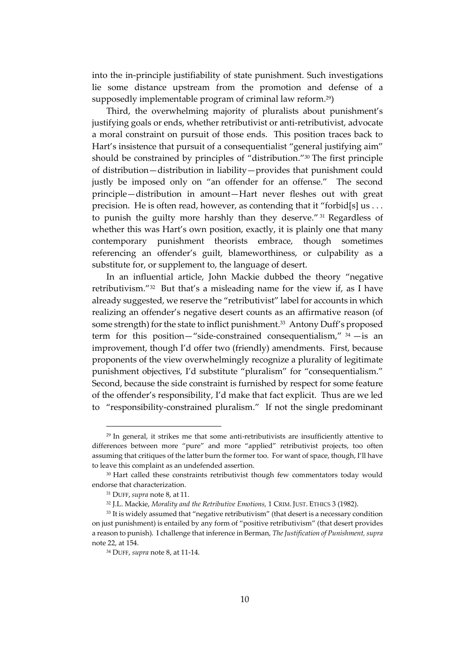into the in-principle justifiability of state punishment. Such investigations lie some distance upstream from the promotion and defense of a supposedly implementable program of criminal law reform.29)

Third, the overwhelming majority of pluralists about punishment's justifying goals or ends, whether retributivist or anti-retributivist, advocate a moral constraint on pursuit of those ends. This position traces back to Hart's insistence that pursuit of a consequentialist "general justifying aim" should be constrained by principles of "distribution." <sup>30</sup> The first principle of distribution—distribution in liability—provides that punishment could justly be imposed only on "an offender for an offense." The second principle—distribution in amount—Hart never fleshes out with great precision. He is often read, however, as contending that it "forbid[s] us . . . to punish the guilty more harshly than they deserve." <sup>31</sup> Regardless of whether this was Hart's own position, exactly, it is plainly one that many contemporary punishment theorists embrace, though sometimes referencing an offender's guilt, blameworthiness, or culpability as a substitute for, or supplement to, the language of desert.

In an influential article, John Mackie dubbed the theory "negative retributivism."<sup>32</sup> But that's a misleading name for the view if, as I have already suggested, we reserve the "retributivist" label for accounts in which realizing an offender's negative desert counts as an affirmative reason (of some strength) for the state to inflict punishment.<sup>33</sup> Antony Duff's proposed term for this position—"side-constrained consequentialism,"  $34$  —is an improvement, though I'd offer two (friendly) amendments. First, because proponents of the view overwhelmingly recognize a plurality of legitimate punishment objectives, I'd substitute "pluralism" for "consequentialism." Second, because the side constraint is furnished by respect for some feature of the offender's responsibility, I'd make that fact explicit. Thus are we led to "responsibility-constrained pluralism." If not the single predominant

<sup>29</sup> In general, it strikes me that some anti-retributivists are insufficiently attentive to differences between more "pure" and more "applied" retributivist projects, too often assuming that critiques of the latter burn the former too. For want of space, though, I'll have to leave this complaint as an undefended assertion.

<sup>&</sup>lt;sup>30</sup> Hart called these constraints retributivist though few commentators today would endorse that characterization.

<sup>31</sup> DUFF, *supra* note 8, at 11.

<sup>32</sup> J.L. Mackie, *Morality and the Retributive Emotions,* 1 CRIM. JUST. ETHICS 3 (1982).

<sup>&</sup>lt;sup>33</sup> It is widely assumed that "negative retributivism" (that desert is a necessary condition on just punishment) is entailed by any form of "positive retributivism" (that desert provides a reason to punish). I challenge that inference in Berman, *The Justification of Punishment, supra* note 22, at 154.

<sup>34</sup> DUFF, *supra* note 8, at 11-14.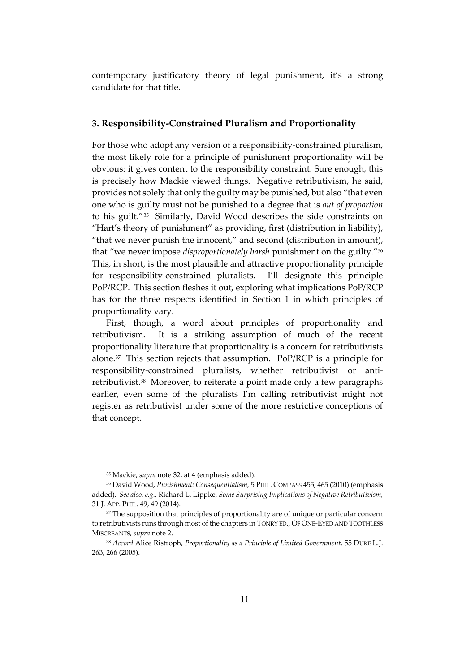contemporary justificatory theory of legal punishment, it's a strong candidate for that title.

#### **3. Responsibility-Constrained Pluralism and Proportionality**

For those who adopt any version of a responsibility-constrained pluralism, the most likely role for a principle of punishment proportionality will be obvious: it gives content to the responsibility constraint. Sure enough, this is precisely how Mackie viewed things. Negative retributivism, he said, provides not solely that only the guilty may be punished, but also "that even one who is guilty must not be punished to a degree that is *out of proportion* to his guilt."<sup>35</sup> Similarly, David Wood describes the side constraints on "Hart's theory of punishment" as providing, first (distribution in liability), "that we never punish the innocent," and second (distribution in amount), that "we never impose *disproportionately harsh* punishment on the guilty." 36 This, in short, is the most plausible and attractive proportionality principle for responsibility-constrained pluralists. I'll designate this principle PoP/RCP. This section fleshes it out, exploring what implications PoP/RCP has for the three respects identified in Section 1 in which principles of proportionality vary.

First, though, a word about principles of proportionality and retributivism. It is a striking assumption of much of the recent proportionality literature that proportionality is a concern for retributivists alone.<sup>37</sup> This section rejects that assumption. PoP/RCP is a principle for responsibility-constrained pluralists, whether retributivist or antiretributivist.<sup>38</sup> Moreover, to reiterate a point made only a few paragraphs earlier, even some of the pluralists I'm calling retributivist might not register as retributivist under some of the more restrictive conceptions of that concept.

<sup>35</sup> Mackie, *supra* note 32, at 4 (emphasis added).

<sup>36</sup> David Wood, *Punishment: Consequentialism,* 5 PHIL. COMPASS 455, 465 (2010) (emphasis added). *See also, e.g.,* Richard L. Lippke, *Some Surprising Implications of Negative Retributivism,* 31 J. APP. PHIL. 49, 49 (2014).

<sup>&</sup>lt;sup>37</sup> The supposition that principles of proportionality are of unique or particular concern to retributivists runs through most of the chapters in TONRY ED., OF ONE-EYED AND TOOTHLESS MISCREANTS, *supra* note 2.

<sup>38</sup> *Accord* Alice Ristroph, *Proportionality as a Principle of Limited Government,* 55 DUKE L.J. 263, 266 (2005).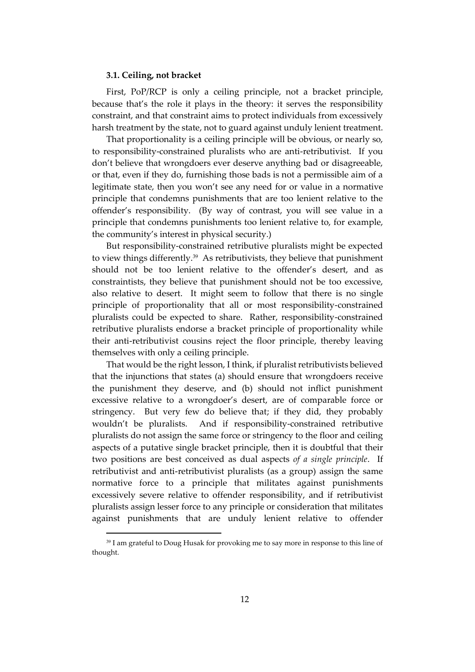#### **3.1. Ceiling, not bracket**

First, PoP/RCP is only a ceiling principle, not a bracket principle, because that's the role it plays in the theory: it serves the responsibility constraint, and that constraint aims to protect individuals from excessively harsh treatment by the state, not to guard against unduly lenient treatment.

That proportionality is a ceiling principle will be obvious, or nearly so, to responsibility-constrained pluralists who are anti-retributivist. If you don't believe that wrongdoers ever deserve anything bad or disagreeable, or that, even if they do, furnishing those bads is not a permissible aim of a legitimate state, then you won't see any need for or value in a normative principle that condemns punishments that are too lenient relative to the offender's responsibility. (By way of contrast, you will see value in a principle that condemns punishments too lenient relative to, for example, the community's interest in physical security.)

But responsibility-constrained retributive pluralists might be expected to view things differently.<sup>39</sup> As retributivists, they believe that punishment should not be too lenient relative to the offender's desert, and as constraintists, they believe that punishment should not be too excessive, also relative to desert. It might seem to follow that there is no single principle of proportionality that all or most responsibility-constrained pluralists could be expected to share. Rather, responsibility-constrained retributive pluralists endorse a bracket principle of proportionality while their anti-retributivist cousins reject the floor principle, thereby leaving themselves with only a ceiling principle.

That would be the right lesson, I think, if pluralist retributivists believed that the injunctions that states (a) should ensure that wrongdoers receive the punishment they deserve, and (b) should not inflict punishment excessive relative to a wrongdoer's desert, are of comparable force or stringency. But very few do believe that; if they did, they probably wouldn't be pluralists. And if responsibility-constrained retributive pluralists do not assign the same force or stringency to the floor and ceiling aspects of a putative single bracket principle, then it is doubtful that their two positions are best conceived as dual aspects *of a single principle*. If retributivist and anti-retributivist pluralists (as a group) assign the same normative force to a principle that militates against punishments excessively severe relative to offender responsibility, and if retributivist pluralists assign lesser force to any principle or consideration that militates against punishments that are unduly lenient relative to offender

<sup>&</sup>lt;sup>39</sup> I am grateful to Doug Husak for provoking me to say more in response to this line of thought.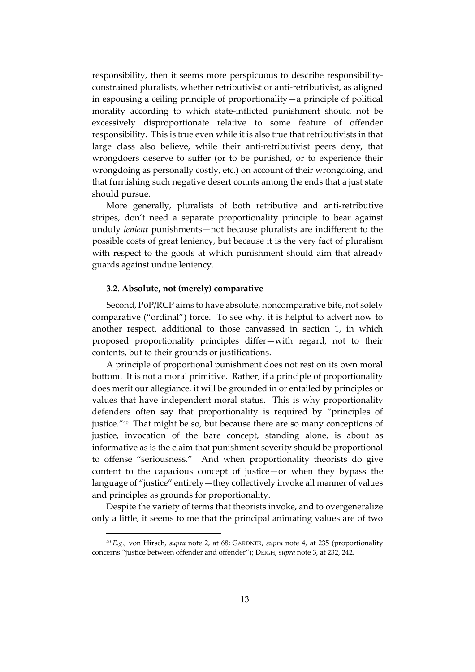responsibility, then it seems more perspicuous to describe responsibilityconstrained pluralists, whether retributivist or anti-retributivist, as aligned in espousing a ceiling principle of proportionality—a principle of political morality according to which state-inflicted punishment should not be excessively disproportionate relative to some feature of offender responsibility. This is true even while it is also true that retributivists in that large class also believe, while their anti-retributivist peers deny, that wrongdoers deserve to suffer (or to be punished, or to experience their wrongdoing as personally costly, etc.) on account of their wrongdoing, and that furnishing such negative desert counts among the ends that a just state should pursue.

More generally, pluralists of both retributive and anti-retributive stripes, don't need a separate proportionality principle to bear against unduly *lenient* punishments—not because pluralists are indifferent to the possible costs of great leniency, but because it is the very fact of pluralism with respect to the goods at which punishment should aim that already guards against undue leniency.

#### **3.2. Absolute, not (merely) comparative**

Second, PoP/RCP aims to have absolute, noncomparative bite, not solely comparative ("ordinal") force. To see why, it is helpful to advert now to another respect, additional to those canvassed in section 1, in which proposed proportionality principles differ—with regard, not to their contents, but to their grounds or justifications.

A principle of proportional punishment does not rest on its own moral bottom. It is not a moral primitive. Rather, if a principle of proportionality does merit our allegiance, it will be grounded in or entailed by principles or values that have independent moral status. This is why proportionality defenders often say that proportionality is required by "principles of justice."<sup>40</sup> That might be so, but because there are so many conceptions of justice, invocation of the bare concept, standing alone, is about as informative as is the claim that punishment severity should be proportional to offense "seriousness." And when proportionality theorists do give content to the capacious concept of justice—or when they bypass the language of "justice" entirely—they collectively invoke all manner of values and principles as grounds for proportionality.

Despite the variety of terms that theorists invoke, and to overgeneralize only a little, it seems to me that the principal animating values are of two

<sup>40</sup> *E.g.,* von Hirsch, *supra* note 2, at 68; GARDNER, *supra* note 4, at 235 (proportionality concerns "justice between offender and offender"); DEIGH, *supra* note 3, at 232, 242.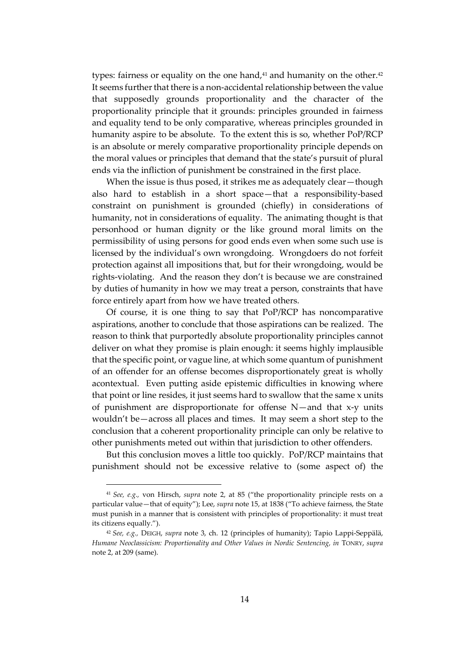types: fairness or equality on the one hand, $41$  and humanity on the other. $42$ It seems further that there is a non-accidental relationship between the value that supposedly grounds proportionality and the character of the proportionality principle that it grounds: principles grounded in fairness and equality tend to be only comparative, whereas principles grounded in humanity aspire to be absolute. To the extent this is so, whether PoP/RCP is an absolute or merely comparative proportionality principle depends on the moral values or principles that demand that the state's pursuit of plural ends via the infliction of punishment be constrained in the first place.

When the issue is thus posed, it strikes me as adequately clear—though also hard to establish in a short space—that a responsibility-based constraint on punishment is grounded (chiefly) in considerations of humanity, not in considerations of equality. The animating thought is that personhood or human dignity or the like ground moral limits on the permissibility of using persons for good ends even when some such use is licensed by the individual's own wrongdoing. Wrongdoers do not forfeit protection against all impositions that, but for their wrongdoing, would be rights-violating. And the reason they don't is because we are constrained by duties of humanity in how we may treat a person, constraints that have force entirely apart from how we have treated others.

Of course, it is one thing to say that PoP/RCP has noncomparative aspirations, another to conclude that those aspirations can be realized. The reason to think that purportedly absolute proportionality principles cannot deliver on what they promise is plain enough: it seems highly implausible that the specific point, or vague line, at which some quantum of punishment of an offender for an offense becomes disproportionately great is wholly acontextual. Even putting aside epistemic difficulties in knowing where that point or line resides, it just seems hard to swallow that the same x units of punishment are disproportionate for offense N—and that x-y units wouldn't be—across all places and times. It may seem a short step to the conclusion that a coherent proportionality principle can only be relative to other punishments meted out within that jurisdiction to other offenders.

But this conclusion moves a little too quickly. PoP/RCP maintains that punishment should not be excessive relative to (some aspect of) the

<sup>41</sup> *See, e.g.,* von Hirsch, *supra* note 2, at 85 ("the proportionality principle rests on a particular value—that of equity"); Lee, *supra* note 15, at 1838 ("To achieve fairness, the State must punish in a manner that is consistent with principles of proportionality: it must treat its citizens equally.").

<sup>42</sup> *See, e.g.,* DEIGH, *supra* note 3, ch. 12 (principles of humanity); Tapio Lappi-Seppälä, *Humane Neoclassicism: Proportionality and Other Values in Nordic Sentencing, in* TONRY, *supra*  note 2, at 209 (same).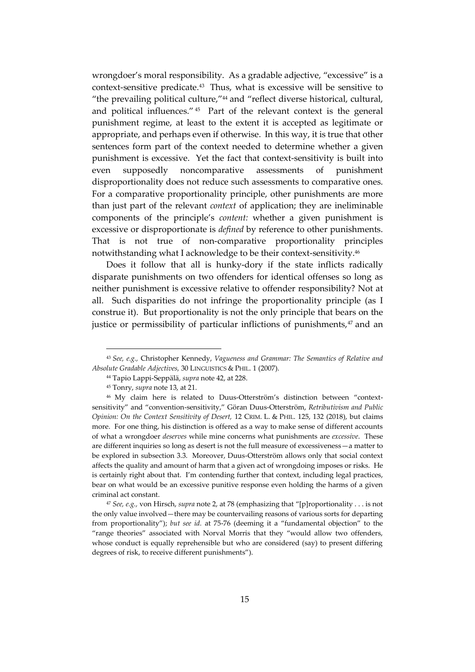wrongdoer's moral responsibility. As a gradable adjective, "excessive" is a context-sensitive predicate. 43 Thus, what is excessive will be sensitive to "the prevailing political culture,"<sup>44</sup> and "reflect diverse historical, cultural, and political influences." <sup>45</sup> Part of the relevant context is the general punishment regime, at least to the extent it is accepted as legitimate or appropriate, and perhaps even if otherwise. In this way, it is true that other sentences form part of the context needed to determine whether a given punishment is excessive. Yet the fact that context-sensitivity is built into even supposedly noncomparative assessments of punishment disproportionality does not reduce such assessments to comparative ones. For a comparative proportionality principle, other punishments are more than just part of the relevant *context* of application; they are ineliminable components of the principle's *content:* whether a given punishment is excessive or disproportionate is *defined* by reference to other punishments. That is not true of non-comparative proportionality principles notwithstanding what I acknowledge to be their context-sensitivity.<sup>46</sup>

Does it follow that all is hunky-dory if the state inflicts radically disparate punishments on two offenders for identical offenses so long as neither punishment is excessive relative to offender responsibility? Not at all. Such disparities do not infringe the proportionality principle (as I construe it). But proportionality is not the only principle that bears on the justice or permissibility of particular inflictions of punishments, $47$  and an

<sup>43</sup> *See, e.g.,* Christopher Kennedy, *Vagueness and Grammar: The Semantics of Relative and Absolute Gradable Adjectives,* 30 LINGUISTICS & PHIL. 1 (2007).

<sup>44</sup> Tapio Lappi-Seppälä, *supra* note 42, at 228.

<sup>45</sup> Tonry, *supra* note 13, at 21.

<sup>46</sup> My claim here is related to Duus-Otterström's distinction between "contextsensitivity" and "convention-sensitivity," Göran Duus-Otterström, *Retributivism and Public Opinion: On the Context Sensitivity of Desert,* 12 CRIM. L. & PHIL. 125, 132 (2018), but claims more. For one thing, his distinction is offered as a way to make sense of different accounts of what a wrongdoer *deserves* while mine concerns what punishments are *excessive*. These are different inquiries so long as desert is not the full measure of excessiveness—a matter to be explored in subsection 3.3. Moreover, Duus-Otterström allows only that social context affects the quality and amount of harm that a given act of wrongdoing imposes or risks. He is certainly right about that. I'm contending further that context, including legal practices, bear on what would be an excessive punitive response even holding the harms of a given criminal act constant.

<sup>47</sup> *See, e.g.,* von Hirsch, *supra* note 2, at 78 (emphasizing that "[p]roportionality . . . is not the only value involved—there may be countervailing reasons of various sorts for departing from proportionality"); *but see id.* at 75-76 (deeming it a "fundamental objection" to the "range theories" associated with Norval Morris that they "would allow two offenders, whose conduct is equally reprehensible but who are considered (say) to present differing degrees of risk, to receive different punishments").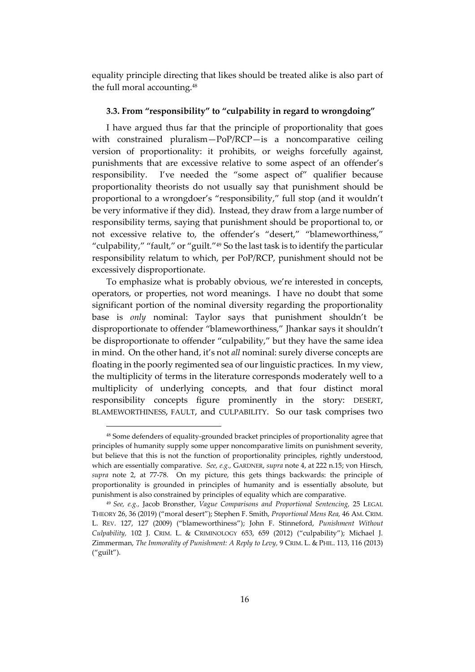equality principle directing that likes should be treated alike is also part of the full moral accounting. 48

#### **3.3. From "responsibility" to "culpability in regard to wrongdoing"**

I have argued thus far that the principle of proportionality that goes with constrained pluralism—PoP/RCP—is a noncomparative ceiling version of proportionality: it prohibits, or weighs forcefully against, punishments that are excessive relative to some aspect of an offender's responsibility. I've needed the "some aspect of" qualifier because proportionality theorists do not usually say that punishment should be proportional to a wrongdoer's "responsibility," full stop (and it wouldn't be very informative if they did). Instead, they draw from a large number of responsibility terms, saying that punishment should be proportional to, or not excessive relative to, the offender's "desert," "blameworthiness," "culpability," "fault," or "guilt."<sup>49</sup> So the last task is to identify the particular responsibility relatum to which, per PoP/RCP, punishment should not be excessively disproportionate.

To emphasize what is probably obvious, we're interested in concepts, operators, or properties, not word meanings. I have no doubt that some significant portion of the nominal diversity regarding the proportionality base is *only* nominal: Taylor says that punishment shouldn't be disproportionate to offender "blameworthiness," Jhankar says it shouldn't be disproportionate to offender "culpability," but they have the same idea in mind. On the other hand, it's not *all* nominal: surely diverse concepts are floating in the poorly regimented sea of our linguistic practices. In my view, the multiplicity of terms in the literature corresponds moderately well to a multiplicity of underlying concepts, and that four distinct moral responsibility concepts figure prominently in the story: DESERT, BLAMEWORTHINESS, FAULT, and CULPABILITY. So our task comprises two

<sup>48</sup> Some defenders of equality-grounded bracket principles of proportionality agree that principles of humanity supply some upper noncomparative limits on punishment severity, but believe that this is not the function of proportionality principles, rightly understood, which are essentially comparative. *See, e.g.,* GARDNER, *supra* note 4, at 222 n.15; von Hirsch, *supra* note 2, at 77-78. On my picture, this gets things backwards: the principle of proportionality is grounded in principles of humanity and is essentially absolute, but punishment is also constrained by principles of equality which are comparative.

<sup>49</sup> *See, e.g.,* Jacob Bronsther, *Vague Comparisons and Proportional Sentencing,* 25 LEGAL THEORY 26, 36 (2019) ("moral desert"); Stephen F. Smith, *Proportional Mens Rea,* 46 AM. CRIM. L. REV. 127, 127 (2009) ("blameworthiness"); John F. Stinneford, *Punishment Without Culpability,* 102 J. CRIM. L. & CRIMINOLOGY 653, 659 (2012) ("culpability"); Michael J. Zimmerman, *The Immorality of Punishment: A Reply to Levy,* 9 CRIM. L. & PHIL. 113, 116 (2013) ("guilt").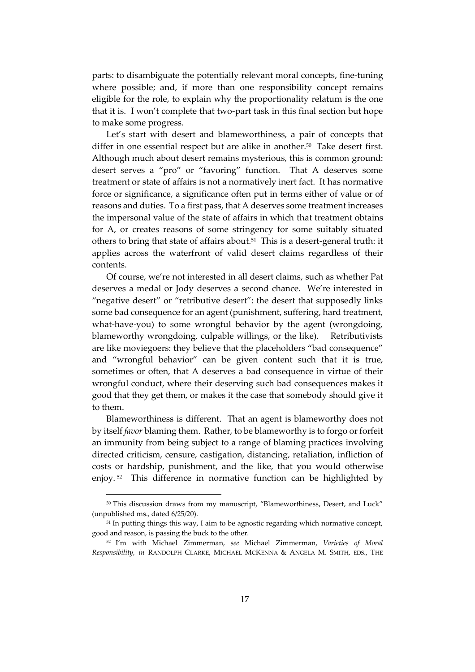parts: to disambiguate the potentially relevant moral concepts, fine-tuning where possible; and, if more than one responsibility concept remains eligible for the role, to explain why the proportionality relatum is the one that it is. I won't complete that two-part task in this final section but hope to make some progress.

Let's start with desert and blameworthiness, a pair of concepts that differ in one essential respect but are alike in another.<sup>50</sup> Take desert first. Although much about desert remains mysterious, this is common ground: desert serves a "pro" or "favoring" function. That A deserves some treatment or state of affairs is not a normatively inert fact. It has normative force or significance, a significance often put in terms either of value or of reasons and duties. To a first pass, that A deserves some treatment increases the impersonal value of the state of affairs in which that treatment obtains for A, or creates reasons of some stringency for some suitably situated others to bring that state of affairs about.<sup>51</sup> This is a desert-general truth: it applies across the waterfront of valid desert claims regardless of their contents.

Of course, we're not interested in all desert claims, such as whether Pat deserves a medal or Jody deserves a second chance. We're interested in "negative desert" or "retributive desert": the desert that supposedly links some bad consequence for an agent (punishment, suffering, hard treatment, what-have-you) to some wrongful behavior by the agent (wrongdoing, blameworthy wrongdoing, culpable willings, or the like). Retributivists are like moviegoers: they believe that the placeholders "bad consequence" and "wrongful behavior" can be given content such that it is true, sometimes or often, that A deserves a bad consequence in virtue of their wrongful conduct, where their deserving such bad consequences makes it good that they get them, or makes it the case that somebody should give it to them.

Blameworthiness is different. That an agent is blameworthy does not by itself *favor* blaming them. Rather, to be blameworthy is to forgo or forfeit an immunity from being subject to a range of blaming practices involving directed criticism, censure, castigation, distancing, retaliation, infliction of costs or hardship, punishment, and the like, that you would otherwise enjoy. <sup>52</sup> This difference in normative function can be highlighted by

<sup>50</sup> This discussion draws from my manuscript, "Blameworthiness, Desert, and Luck" (unpublished ms., dated 6/25/20).

<sup>&</sup>lt;sup>51</sup> In putting things this way, I aim to be agnostic regarding which normative concept, good and reason, is passing the buck to the other.

<sup>52</sup> I'm with Michael Zimmerman, *see* Michael Zimmerman, *Varieties of Moral Responsibility, in* RANDOLPH CLARKE, MICHAEL MCKENNA & ANGELA M. SMITH, EDS., THE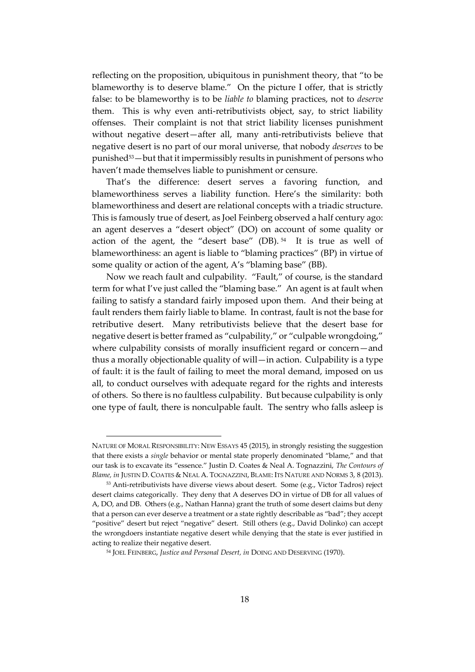reflecting on the proposition, ubiquitous in punishment theory, that "to be blameworthy is to deserve blame." On the picture I offer, that is strictly false: to be blameworthy is to be *liable to* blaming practices, not to *deserve* them. This is why even anti-retributivists object, say, to strict liability offenses. Their complaint is not that strict liability licenses punishment without negative desert—after all, many anti-retributivists believe that negative desert is no part of our moral universe, that nobody *deserves* to be punished53—but that it impermissibly results in punishment of persons who haven't made themselves liable to punishment or censure.

That's the difference: desert serves a favoring function, and blameworthiness serves a liability function. Here's the similarity: both blameworthiness and desert are relational concepts with a triadic structure. This is famously true of desert, as Joel Feinberg observed a half century ago: an agent deserves a "desert object" (DO) on account of some quality or action of the agent, the "desert base" (DB). 54 It is true as well of blameworthiness: an agent is liable to "blaming practices" (BP) in virtue of some quality or action of the agent, A's "blaming base" (BB).

Now we reach fault and culpability. "Fault," of course, is the standard term for what I've just called the "blaming base." An agent is at fault when failing to satisfy a standard fairly imposed upon them. And their being at fault renders them fairly liable to blame. In contrast, fault is not the base for retributive desert. Many retributivists believe that the desert base for negative desert is better framed as "culpability," or "culpable wrongdoing," where culpability consists of morally insufficient regard or concern—and thus a morally objectionable quality of will—in action. Culpability is a type of fault: it is the fault of failing to meet the moral demand, imposed on us all, to conduct ourselves with adequate regard for the rights and interests of others. So there is no faultless culpability. But because culpability is only one type of fault, there is nonculpable fault. The sentry who falls asleep is

NATURE OF MORAL RESPONSIBILITY: NEW ESSAYS 45 (2015), in strongly resisting the suggestion that there exists a *single* behavior or mental state properly denominated "blame," and that our task is to excavate its "essence." Justin D. Coates & Neal A. Tognazzini, *The Contours of Blame, in* JUSTIN D. COATES & NEAL A. TOGNAZZINI, BLAME: ITS NATURE AND NORMS 3, 8 (2013).

<sup>53</sup> Anti-retributivists have diverse views about desert. Some (e.g., Victor Tadros) reject desert claims categorically. They deny that A deserves DO in virtue of DB for all values of A, DO, and DB. Others (e.g., Nathan Hanna) grant the truth of some desert claims but deny that a person can ever deserve a treatment or a state rightly describable as "bad"; they accept "positive" desert but reject "negative" desert. Still others (e.g., David Dolinko) can accept the wrongdoers instantiate negative desert while denying that the state is ever justified in acting to realize their negative desert.

<sup>54</sup> JOEL FEINBERG, *Justice and Personal Desert, in* DOING AND DESERVING (1970).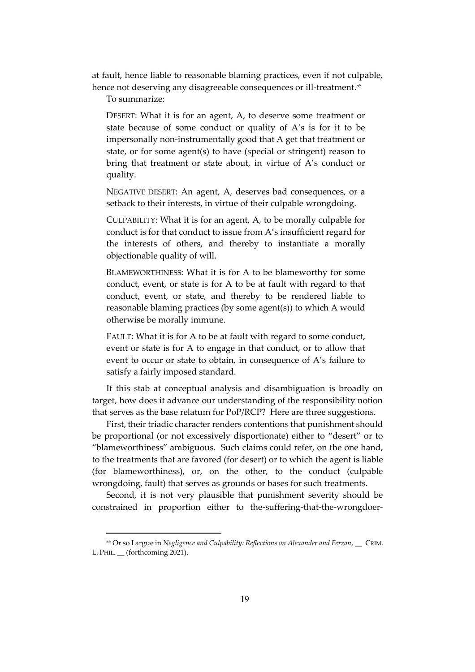at fault, hence liable to reasonable blaming practices, even if not culpable, hence not deserving any disagreeable consequences or ill-treatment.<sup>55</sup>

To summarize:

DESERT: What it is for an agent, A, to deserve some treatment or state because of some conduct or quality of A's is for it to be impersonally non-instrumentally good that A get that treatment or state, or for some agent(s) to have (special or stringent) reason to bring that treatment or state about, in virtue of A's conduct or quality.

NEGATIVE DESERT: An agent, A, deserves bad consequences, or a setback to their interests, in virtue of their culpable wrongdoing.

CULPABILITY: What it is for an agent, A, to be morally culpable for conduct is for that conduct to issue from A's insufficient regard for the interests of others, and thereby to instantiate a morally objectionable quality of will.

BLAMEWORTHINESS: What it is for A to be blameworthy for some conduct, event, or state is for A to be at fault with regard to that conduct, event, or state, and thereby to be rendered liable to reasonable blaming practices (by some agent(s)) to which A would otherwise be morally immune.

FAULT: What it is for A to be at fault with regard to some conduct, event or state is for A to engage in that conduct, or to allow that event to occur or state to obtain, in consequence of A's failure to satisfy a fairly imposed standard.

If this stab at conceptual analysis and disambiguation is broadly on target, how does it advance our understanding of the responsibility notion that serves as the base relatum for PoP/RCP? Here are three suggestions.

First, their triadic character renders contentions that punishment should be proportional (or not excessively disportionate) either to "desert" or to "blameworthiness" ambiguous. Such claims could refer, on the one hand, to the treatments that are favored (for desert) or to which the agent is liable (for blameworthiness), or, on the other, to the conduct (culpable wrongdoing, fault) that serves as grounds or bases for such treatments.

Second, it is not very plausible that punishment severity should be constrained in proportion either to the-suffering-that-the-wrongdoer-

<sup>55</sup> Or so I argue in *Negligence and Culpability: Reflections on Alexander and Ferzan*, \_\_ CRIM. L. PHIL. \_\_ (forthcoming 2021).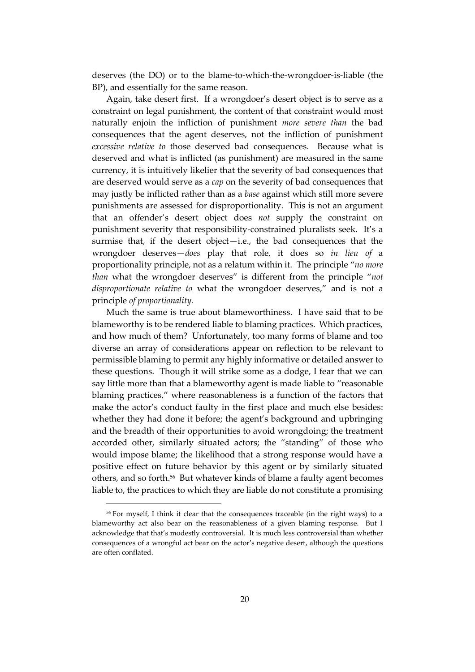deserves (the DO) or to the blame-to-which-the-wrongdoer-is-liable (the BP), and essentially for the same reason.

Again, take desert first. If a wrongdoer's desert object is to serve as a constraint on legal punishment, the content of that constraint would most naturally enjoin the infliction of punishment *more severe than* the bad consequences that the agent deserves, not the infliction of punishment *excessive relative to* those deserved bad consequences. Because what is deserved and what is inflicted (as punishment) are measured in the same currency, it is intuitively likelier that the severity of bad consequences that are deserved would serve as a *cap* on the severity of bad consequences that may justly be inflicted rather than as a *base* against which still more severe punishments are assessed for disproportionality. This is not an argument that an offender's desert object does *not* supply the constraint on punishment severity that responsibility-constrained pluralists seek. It's a surmise that, if the desert object—i.e., the bad consequences that the wrongdoer deserves—*does* play that role, it does so *in lieu of* a proportionality principle, not as a relatum within it. The principle "*no more than* what the wrongdoer deserves" is different from the principle "*not disproportionate relative to* what the wrongdoer deserves," and is not a principle *of proportionality.*

Much the same is true about blameworthiness. I have said that to be blameworthy is to be rendered liable to blaming practices. Which practices, and how much of them? Unfortunately, too many forms of blame and too diverse an array of considerations appear on reflection to be relevant to permissible blaming to permit any highly informative or detailed answer to these questions. Though it will strike some as a dodge, I fear that we can say little more than that a blameworthy agent is made liable to "reasonable blaming practices," where reasonableness is a function of the factors that make the actor's conduct faulty in the first place and much else besides: whether they had done it before; the agent's background and upbringing and the breadth of their opportunities to avoid wrongdoing; the treatment accorded other, similarly situated actors; the "standing" of those who would impose blame; the likelihood that a strong response would have a positive effect on future behavior by this agent or by similarly situated others, and so forth. 56 But whatever kinds of blame a faulty agent becomes liable to, the practices to which they are liable do not constitute a promising

<sup>56</sup> For myself, I think it clear that the consequences traceable (in the right ways) to a blameworthy act also bear on the reasonableness of a given blaming response. But I acknowledge that that's modestly controversial. It is much less controversial than whether consequences of a wrongful act bear on the actor's negative desert, although the questions are often conflated.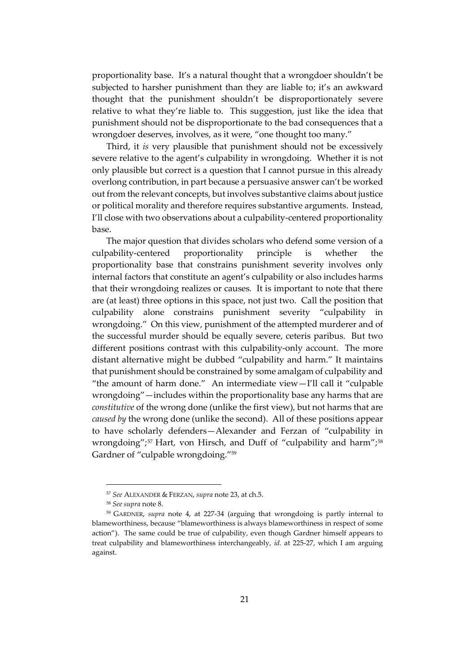proportionality base. It's a natural thought that a wrongdoer shouldn't be subjected to harsher punishment than they are liable to; it's an awkward thought that the punishment shouldn't be disproportionately severe relative to what they're liable to. This suggestion, just like the idea that punishment should not be disproportionate to the bad consequences that a wrongdoer deserves, involves, as it were, "one thought too many."

Third, it *is* very plausible that punishment should not be excessively severe relative to the agent's culpability in wrongdoing. Whether it is not only plausible but correct is a question that I cannot pursue in this already overlong contribution, in part because a persuasive answer can't be worked out from the relevant concepts, but involves substantive claims about justice or political morality and therefore requires substantive arguments. Instead, I'll close with two observations about a culpability-centered proportionality base.

The major question that divides scholars who defend some version of a culpability-centered proportionality principle is whether the proportionality base that constrains punishment severity involves only internal factors that constitute an agent's culpability or also includes harms that their wrongdoing realizes or causes. It is important to note that there are (at least) three options in this space, not just two. Call the position that culpability alone constrains punishment severity "culpability in wrongdoing." On this view, punishment of the attempted murderer and of the successful murder should be equally severe, ceteris paribus. But two different positions contrast with this culpability-only account. The more distant alternative might be dubbed "culpability and harm." It maintains that punishment should be constrained by some amalgam of culpability and "the amount of harm done." An intermediate view—I'll call it "culpable wrongdoing"—includes within the proportionality base any harms that are *constitutive* of the wrong done (unlike the first view), but not harms that are *caused by* the wrong done (unlike the second). All of these positions appear to have scholarly defenders—Alexander and Ferzan of "culpability in wrongdoing";<sup>57</sup> Hart, von Hirsch, and Duff of "culpability and harm";<sup>58</sup> Gardner of "culpable wrongdoing."<sup>59</sup>

<sup>57</sup> *See* ALEXANDER & FERZAN, *supra* note 23, at ch.5.

<sup>58</sup> *See supra* note 8.

<sup>59</sup> GARDNER, *supra* note 4, at 227-34 (arguing that wrongdoing is partly internal to blameworthiness, because "blameworthiness is always blameworthiness in respect of some action"). The same could be true of culpability, even though Gardner himself appears to treat culpability and blameworthiness interchangeably, *id.* at 225-27, which I am arguing against.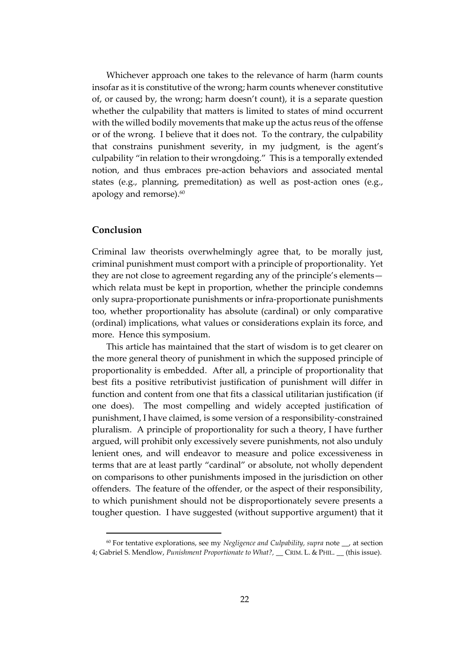Whichever approach one takes to the relevance of harm (harm counts insofar as it is constitutive of the wrong; harm counts whenever constitutive of, or caused by, the wrong; harm doesn't count), it is a separate question whether the culpability that matters is limited to states of mind occurrent with the willed bodily movements that make up the actus reus of the offense or of the wrong. I believe that it does not. To the contrary, the culpability that constrains punishment severity, in my judgment, is the agent's culpability "in relation to their wrongdoing." This is a temporally extended notion, and thus embraces pre-action behaviors and associated mental states (e.g., planning, premeditation) as well as post-action ones (e.g., apology and remorse). $\rm ^{60}$ 

#### **Conclusion**

Criminal law theorists overwhelmingly agree that, to be morally just, criminal punishment must comport with a principle of proportionality. Yet they are not close to agreement regarding any of the principle's elements which relata must be kept in proportion, whether the principle condemns only supra-proportionate punishments or infra-proportionate punishments too, whether proportionality has absolute (cardinal) or only comparative (ordinal) implications, what values or considerations explain its force, and more. Hence this symposium.

This article has maintained that the start of wisdom is to get clearer on the more general theory of punishment in which the supposed principle of proportionality is embedded. After all, a principle of proportionality that best fits a positive retributivist justification of punishment will differ in function and content from one that fits a classical utilitarian justification (if one does). The most compelling and widely accepted justification of punishment, I have claimed, is some version of a responsibility-constrained pluralism. A principle of proportionality for such a theory, I have further argued, will prohibit only excessively severe punishments, not also unduly lenient ones, and will endeavor to measure and police excessiveness in terms that are at least partly "cardinal" or absolute, not wholly dependent on comparisons to other punishments imposed in the jurisdiction on other offenders. The feature of the offender, or the aspect of their responsibility, to which punishment should not be disproportionately severe presents a tougher question. I have suggested (without supportive argument) that it

<sup>60</sup> For tentative explorations, see my *Negligence and Culpability, supra* note \_\_, at section 4; Gabriel S. Mendlow, *Punishment Proportionate to What?,* \_\_ CRIM. L. & PHIL. \_\_ (this issue).